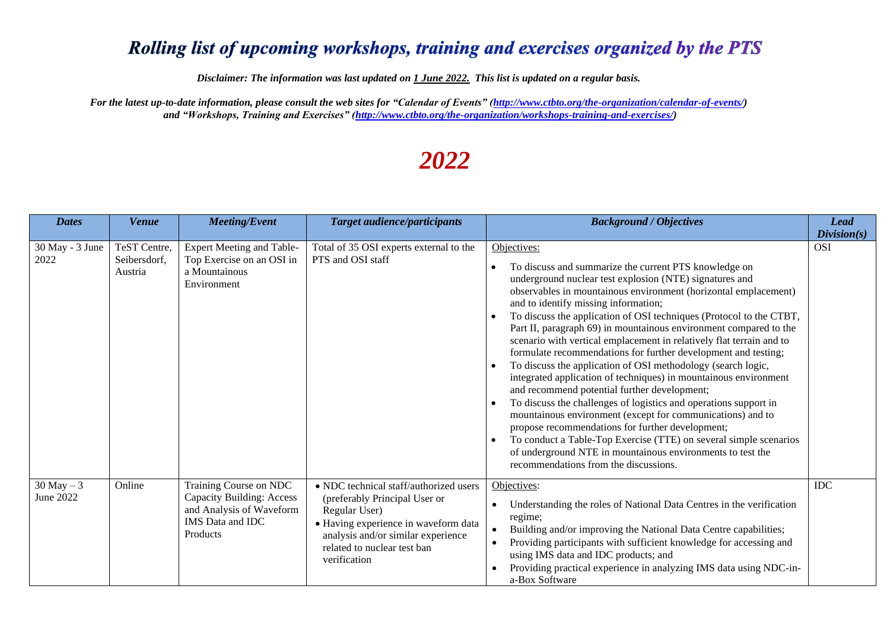## Rolling list of upcoming workshops, training and exercises organized by the PTS

*Disclaimer: The information was last updated on 1 June 2022. This list is updated on a regular basis.*

*For the latest up-to-date information, please consult the web sites for "Calendar of Events" [\(http://www.ctbto.org/the-organization/calendar-of-events/\)](http://www.ctbto.org/the-organization/calendar-of-events/) and "Workshops, Training and Exercises" [\(http://www.ctbto.org/the-organization/workshops-training-and-exercises/\)](http://www.ctbto.org/the-organization/workshops-training-and-exercises/)*

## *2022*

| <b>Dates</b>                | <b>Venue</b>                            | <b>Meeting/Event</b>                                                                                                                 | <b>Target audience/participants</b>                                                                                                                                                                                   | <b>Background / Objectives</b>                                                                                                                                                                                                                                                                                                                                                                                                                                                                                                                                                                                                                                                                                                                                                                                                                                                                                                                                                                                                                                                         | <b>Lead</b><br>Division(s) |
|-----------------------------|-----------------------------------------|--------------------------------------------------------------------------------------------------------------------------------------|-----------------------------------------------------------------------------------------------------------------------------------------------------------------------------------------------------------------------|----------------------------------------------------------------------------------------------------------------------------------------------------------------------------------------------------------------------------------------------------------------------------------------------------------------------------------------------------------------------------------------------------------------------------------------------------------------------------------------------------------------------------------------------------------------------------------------------------------------------------------------------------------------------------------------------------------------------------------------------------------------------------------------------------------------------------------------------------------------------------------------------------------------------------------------------------------------------------------------------------------------------------------------------------------------------------------------|----------------------------|
| $30$ May - $3$ June<br>2022 | TeST Centre,<br>Seibersdorf,<br>Austria | <b>Expert Meeting and Table-</b><br>Top Exercise on an OSI in<br>a Mountainous<br>Environment                                        | Total of 35 OSI experts external to the<br>PTS and OSI staff                                                                                                                                                          | Objectives:<br>To discuss and summarize the current PTS knowledge on<br>underground nuclear test explosion (NTE) signatures and<br>observables in mountainous environment (horizontal emplacement)<br>and to identify missing information;<br>To discuss the application of OSI techniques (Protocol to the CTBT,<br>Part II, paragraph 69) in mountainous environment compared to the<br>scenario with vertical emplacement in relatively flat terrain and to<br>formulate recommendations for further development and testing;<br>To discuss the application of OSI methodology (search logic,<br>integrated application of techniques) in mountainous environment<br>and recommend potential further development;<br>To discuss the challenges of logistics and operations support in<br>mountainous environment (except for communications) and to<br>propose recommendations for further development;<br>To conduct a Table-Top Exercise (TTE) on several simple scenarios<br>of underground NTE in mountainous environments to test the<br>recommendations from the discussions. | <b>OSI</b>                 |
| $30$ May $-3$<br>June 2022  | Online                                  | Training Course on NDC<br><b>Capacity Building: Access</b><br>and Analysis of Waveform<br><b>IMS</b> Data and <b>IDC</b><br>Products | • NDC technical staff/authorized users<br>(preferably Principal User or<br>Regular User)<br>· Having experience in waveform data<br>analysis and/or similar experience<br>related to nuclear test ban<br>verification | Objectives:<br>Understanding the roles of National Data Centres in the verification<br>regime;<br>Building and/or improving the National Data Centre capabilities;<br>Providing participants with sufficient knowledge for accessing and<br>using IMS data and IDC products; and<br>Providing practical experience in analyzing IMS data using NDC-in-<br>a-Box Software                                                                                                                                                                                                                                                                                                                                                                                                                                                                                                                                                                                                                                                                                                               | <b>IDC</b>                 |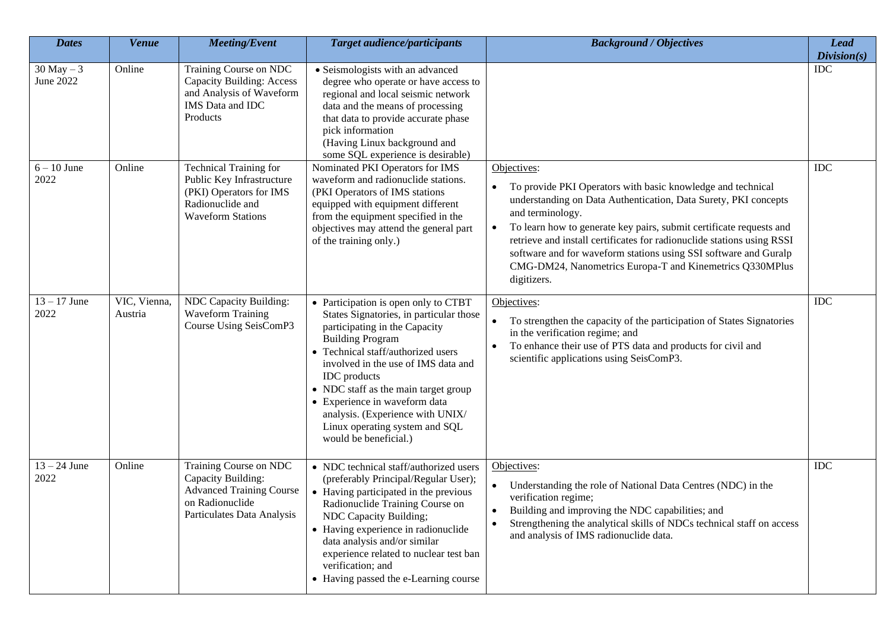| <b>Dates</b>               | <b>Venue</b>            | <b>Meeting/Event</b>                                                                                                                  | <b>Target audience/participants</b>                                                                                                                                                                                                                                                                                                                                                                                     | <b>Background / Objectives</b>                                                                                                                                                                                                                                                                                                                                                                                                                                                 | <b>Lead</b><br>Division(s) |
|----------------------------|-------------------------|---------------------------------------------------------------------------------------------------------------------------------------|-------------------------------------------------------------------------------------------------------------------------------------------------------------------------------------------------------------------------------------------------------------------------------------------------------------------------------------------------------------------------------------------------------------------------|--------------------------------------------------------------------------------------------------------------------------------------------------------------------------------------------------------------------------------------------------------------------------------------------------------------------------------------------------------------------------------------------------------------------------------------------------------------------------------|----------------------------|
| $30$ May $-3$<br>June 2022 | Online                  | Training Course on NDC<br><b>Capacity Building: Access</b><br>and Analysis of Waveform<br>IMS Data and IDC<br>Products                | • Seismologists with an advanced<br>degree who operate or have access to<br>regional and local seismic network<br>data and the means of processing<br>that data to provide accurate phase<br>pick information<br>(Having Linux background and<br>some SQL experience is desirable)                                                                                                                                      |                                                                                                                                                                                                                                                                                                                                                                                                                                                                                | <b>IDC</b>                 |
| $6 - 10$ June<br>2022      | Online                  | <b>Technical Training for</b><br>Public Key Infrastructure<br>(PKI) Operators for IMS<br>Radionuclide and<br><b>Waveform Stations</b> | Nominated PKI Operators for IMS<br>waveform and radionuclide stations.<br>(PKI Operators of IMS stations<br>equipped with equipment different<br>from the equipment specified in the<br>objectives may attend the general part<br>of the training only.)                                                                                                                                                                | Objectives:<br>To provide PKI Operators with basic knowledge and technical<br>understanding on Data Authentication, Data Surety, PKI concepts<br>and terminology.<br>To learn how to generate key pairs, submit certificate requests and<br>$\bullet$<br>retrieve and install certificates for radionuclide stations using RSSI<br>software and for waveform stations using SSI software and Guralp<br>CMG-DM24, Nanometrics Europa-T and Kinemetrics Q330MPlus<br>digitizers. | IDC                        |
| $13 - 17$ June<br>2022     | VIC, Vienna,<br>Austria | NDC Capacity Building:<br><b>Waveform Training</b><br>Course Using SeisComP3                                                          | • Participation is open only to CTBT<br>States Signatories, in particular those<br>participating in the Capacity<br><b>Building Program</b><br>• Technical staff/authorized users<br>involved in the use of IMS data and<br><b>IDC</b> products<br>• NDC staff as the main target group<br>• Experience in waveform data<br>analysis. (Experience with UNIX/<br>Linux operating system and SQL<br>would be beneficial.) | Objectives:<br>To strengthen the capacity of the participation of States Signatories<br>in the verification regime; and<br>To enhance their use of PTS data and products for civil and<br>$\bullet$<br>scientific applications using SeisComP3.                                                                                                                                                                                                                                | <b>IDC</b>                 |
| $13 - 24$ June<br>2022     | Online                  | Training Course on NDC<br>Capacity Building:<br><b>Advanced Training Course</b><br>on Radionuclide<br>Particulates Data Analysis      | • NDC technical staff/authorized users<br>(preferably Principal/Regular User);<br>• Having participated in the previous<br>Radionuclide Training Course on<br>NDC Capacity Building;<br>• Having experience in radionuclide<br>data analysis and/or similar<br>experience related to nuclear test ban<br>verification; and<br>• Having passed the e-Learning course                                                     | Objectives:<br>Understanding the role of National Data Centres (NDC) in the<br>verification regime;<br>Building and improving the NDC capabilities; and<br>Strengthening the analytical skills of NDCs technical staff on access<br>and analysis of IMS radionuclide data.                                                                                                                                                                                                     | <b>IDC</b>                 |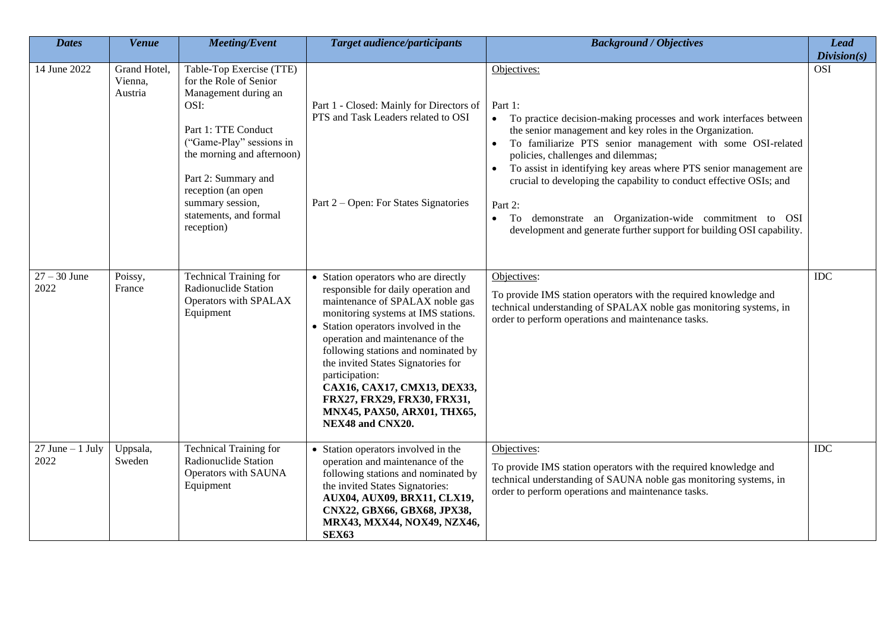| <b>Dates</b>                | Venue                              | <b>Meeting/Event</b>                                                                                                                                                                                                                                                         | <b>Target audience/participants</b>                                                                                                                                                                                                                                                                                                                                                                                                              | <b>Background / Objectives</b>                                                                                                                                                                                                                                                                                                                                                                                                                                                                                                                                                  | <b>Lead</b><br>Division(s) |
|-----------------------------|------------------------------------|------------------------------------------------------------------------------------------------------------------------------------------------------------------------------------------------------------------------------------------------------------------------------|--------------------------------------------------------------------------------------------------------------------------------------------------------------------------------------------------------------------------------------------------------------------------------------------------------------------------------------------------------------------------------------------------------------------------------------------------|---------------------------------------------------------------------------------------------------------------------------------------------------------------------------------------------------------------------------------------------------------------------------------------------------------------------------------------------------------------------------------------------------------------------------------------------------------------------------------------------------------------------------------------------------------------------------------|----------------------------|
| 14 June 2022                | Grand Hotel,<br>Vienna,<br>Austria | Table-Top Exercise (TTE)<br>for the Role of Senior<br>Management during an<br>OSI:<br>Part 1: TTE Conduct<br>("Game-Play" sessions in<br>the morning and afternoon)<br>Part 2: Summary and<br>reception (an open<br>summary session,<br>statements, and formal<br>reception) | Part 1 - Closed: Mainly for Directors of<br>PTS and Task Leaders related to OSI<br>Part 2 – Open: For States Signatories                                                                                                                                                                                                                                                                                                                         | Objectives:<br>Part 1:<br>To practice decision-making processes and work interfaces between<br>$\bullet$<br>the senior management and key roles in the Organization.<br>To familiarize PTS senior management with some OSI-related<br>policies, challenges and dilemmas;<br>To assist in identifying key areas where PTS senior management are<br>crucial to developing the capability to conduct effective OSIs; and<br>Part 2:<br>To demonstrate an Organization-wide commitment to OSI<br>$\bullet$<br>development and generate further support for building OSI capability. | <b>OSI</b>                 |
| $27 - 30$ June<br>2022      | Poissy,<br>France                  | <b>Technical Training for</b><br>Radionuclide Station<br>Operators with SPALAX<br>Equipment                                                                                                                                                                                  | • Station operators who are directly<br>responsible for daily operation and<br>maintenance of SPALAX noble gas<br>monitoring systems at IMS stations.<br>• Station operators involved in the<br>operation and maintenance of the<br>following stations and nominated by<br>the invited States Signatories for<br>participation:<br>CAX16, CAX17, CMX13, DEX33,<br>FRX27, FRX29, FRX30, FRX31,<br>MNX45, PAX50, ARX01, THX65,<br>NEX48 and CNX20. | Objectives:<br>To provide IMS station operators with the required knowledge and<br>technical understanding of SPALAX noble gas monitoring systems, in<br>order to perform operations and maintenance tasks.                                                                                                                                                                                                                                                                                                                                                                     | <b>IDC</b>                 |
| $27$ June $-1$ July<br>2022 | Uppsala,<br>Sweden                 | <b>Technical Training for</b><br>Radionuclide Station<br>Operators with SAUNA<br>Equipment                                                                                                                                                                                   | • Station operators involved in the<br>operation and maintenance of the<br>following stations and nominated by<br>the invited States Signatories:<br>AUX04, AUX09, BRX11, CLX19,<br>CNX22, GBX66, GBX68, JPX38,<br>MRX43, MXX44, NOX49, NZX46,<br><b>SEX63</b>                                                                                                                                                                                   | Objectives:<br>To provide IMS station operators with the required knowledge and<br>technical understanding of SAUNA noble gas monitoring systems, in<br>order to perform operations and maintenance tasks.                                                                                                                                                                                                                                                                                                                                                                      | <b>IDC</b>                 |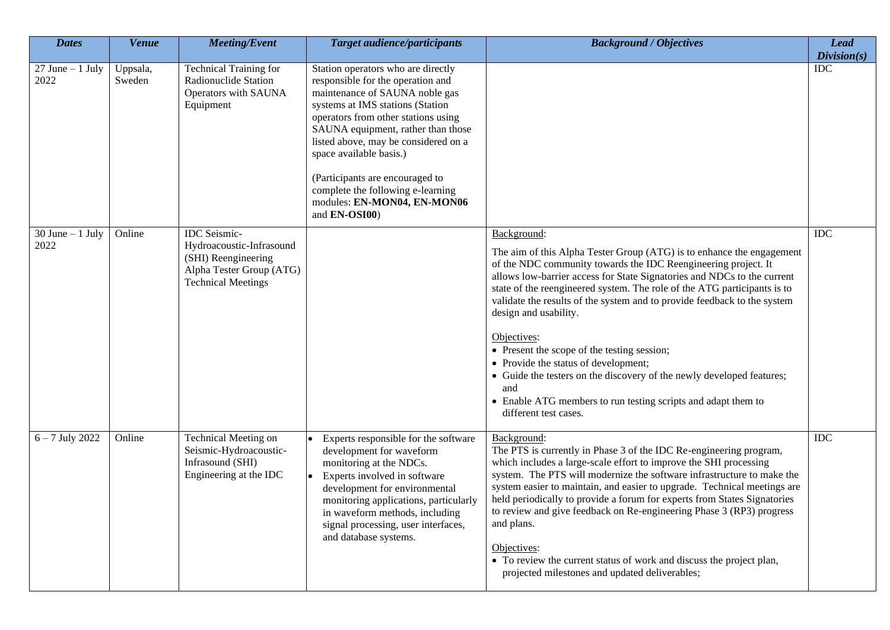| <b>Dates</b>                | <b>Venue</b>       | <b>Meeting/Event</b>                                                                                                            | <b>Target audience/participants</b>                                                                                                                                                                                                                                                                                                                                                                                   | <b>Background / Objectives</b>                                                                                                                                                                                                                                                                                                                                                                                                                                                                                                                                                                                                                                                                     | <b>Lead</b><br>Division(s) |
|-----------------------------|--------------------|---------------------------------------------------------------------------------------------------------------------------------|-----------------------------------------------------------------------------------------------------------------------------------------------------------------------------------------------------------------------------------------------------------------------------------------------------------------------------------------------------------------------------------------------------------------------|----------------------------------------------------------------------------------------------------------------------------------------------------------------------------------------------------------------------------------------------------------------------------------------------------------------------------------------------------------------------------------------------------------------------------------------------------------------------------------------------------------------------------------------------------------------------------------------------------------------------------------------------------------------------------------------------------|----------------------------|
| $27$ June $-1$ July<br>2022 | Uppsala,<br>Sweden | <b>Technical Training for</b><br>Radionuclide Station<br>Operators with SAUNA<br>Equipment                                      | Station operators who are directly<br>responsible for the operation and<br>maintenance of SAUNA noble gas<br>systems at IMS stations (Station<br>operators from other stations using<br>SAUNA equipment, rather than those<br>listed above, may be considered on a<br>space available basis.)<br>(Participants are encouraged to<br>complete the following e-learning<br>modules: EN-MON04, EN-MON06<br>and EN-OSI00) |                                                                                                                                                                                                                                                                                                                                                                                                                                                                                                                                                                                                                                                                                                    | $\overline{IDC}$           |
| $30$ June $-1$ July<br>2022 | Online             | <b>IDC</b> Seismic-<br>Hydroacoustic-Infrasound<br>(SHI) Reengineering<br>Alpha Tester Group (ATG)<br><b>Technical Meetings</b> |                                                                                                                                                                                                                                                                                                                                                                                                                       | Background:<br>The aim of this Alpha Tester Group (ATG) is to enhance the engagement<br>of the NDC community towards the IDC Reengineering project. It<br>allows low-barrier access for State Signatories and NDCs to the current<br>state of the reengineered system. The role of the ATG participants is to<br>validate the results of the system and to provide feedback to the system<br>design and usability.<br>Objectives:<br>• Present the scope of the testing session;<br>• Provide the status of development;<br>• Guide the testers on the discovery of the newly developed features;<br>and<br>• Enable ATG members to run testing scripts and adapt them to<br>different test cases. | <b>IDC</b>                 |
| $6 - 7$ July 2022           | Online             | <b>Technical Meeting on</b><br>Seismic-Hydroacoustic-<br>Infrasound (SHI)<br>Engineering at the IDC                             | Experts responsible for the software<br>development for waveform<br>monitoring at the NDCs.<br>Experts involved in software<br>development for environmental<br>monitoring applications, particularly<br>in waveform methods, including<br>signal processing, user interfaces,<br>and database systems.                                                                                                               | Background:<br>The PTS is currently in Phase 3 of the IDC Re-engineering program,<br>which includes a large-scale effort to improve the SHI processing<br>system. The PTS will modernize the software infrastructure to make the<br>system easier to maintain, and easier to upgrade. Technical meetings are<br>held periodically to provide a forum for experts from States Signatories<br>to review and give feedback on Re-engineering Phase 3 (RP3) progress<br>and plans.<br>Objectives:<br>• To review the current status of work and discuss the project plan,<br>projected milestones and updated deliverables;                                                                            | IDC                        |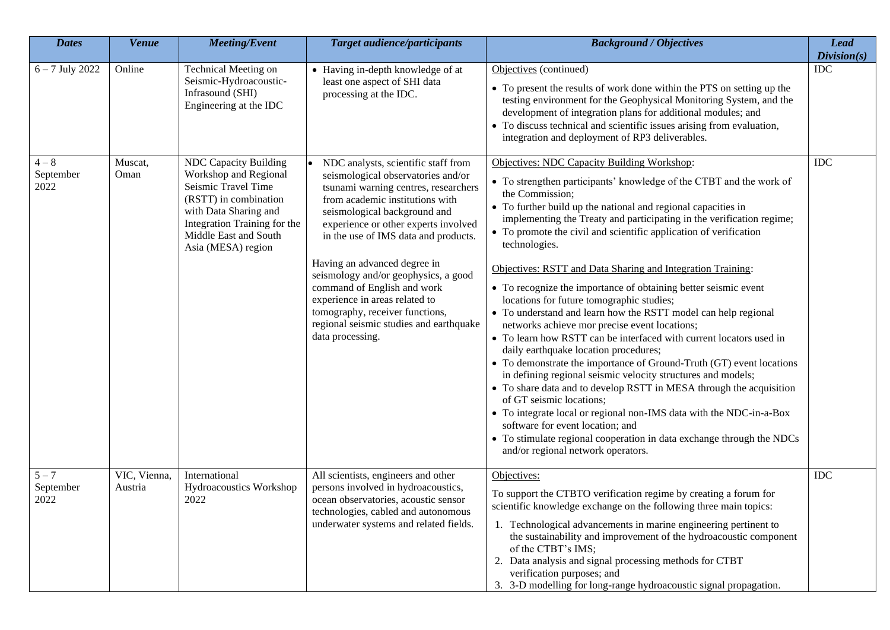| <b>Dates</b>                 | <b>Venue</b>            | <b>Meeting/Event</b>                                                                                                                                                                                          | <b>Target audience/participants</b>                                                                                                                                                                                                                                                                                                                                                                                                                                                                             | <b>Background / Objectives</b>                                                                                                                                                                                                                                                                                                                                                                                                                                                                                                                                                                                                                                                                                                                                                                                                                                                                                                                                                                                                                                                                                                                                                                                                                               | <b>Lead</b><br>Division(s) |
|------------------------------|-------------------------|---------------------------------------------------------------------------------------------------------------------------------------------------------------------------------------------------------------|-----------------------------------------------------------------------------------------------------------------------------------------------------------------------------------------------------------------------------------------------------------------------------------------------------------------------------------------------------------------------------------------------------------------------------------------------------------------------------------------------------------------|--------------------------------------------------------------------------------------------------------------------------------------------------------------------------------------------------------------------------------------------------------------------------------------------------------------------------------------------------------------------------------------------------------------------------------------------------------------------------------------------------------------------------------------------------------------------------------------------------------------------------------------------------------------------------------------------------------------------------------------------------------------------------------------------------------------------------------------------------------------------------------------------------------------------------------------------------------------------------------------------------------------------------------------------------------------------------------------------------------------------------------------------------------------------------------------------------------------------------------------------------------------|----------------------------|
| $6 - 7$ July 2022            | Online                  | <b>Technical Meeting on</b><br>Seismic-Hydroacoustic-<br>Infrasound (SHI)<br>Engineering at the IDC                                                                                                           | • Having in-depth knowledge of at<br>least one aspect of SHI data<br>processing at the IDC.                                                                                                                                                                                                                                                                                                                                                                                                                     | Objectives (continued)<br>• To present the results of work done within the PTS on setting up the<br>testing environment for the Geophysical Monitoring System, and the<br>development of integration plans for additional modules; and<br>• To discuss technical and scientific issues arising from evaluation,<br>integration and deployment of RP3 deliverables.                                                                                                                                                                                                                                                                                                                                                                                                                                                                                                                                                                                                                                                                                                                                                                                                                                                                                           | IDC                        |
| $4 - 8$<br>September<br>2022 | Muscat,<br>Oman         | <b>NDC Capacity Building</b><br>Workshop and Regional<br>Seismic Travel Time<br>(RSTT) in combination<br>with Data Sharing and<br>Integration Training for the<br>Middle East and South<br>Asia (MESA) region | NDC analysts, scientific staff from<br>seismological observatories and/or<br>tsunami warning centres, researchers<br>from academic institutions with<br>seismological background and<br>experience or other experts involved<br>in the use of IMS data and products.<br>Having an advanced degree in<br>seismology and/or geophysics, a good<br>command of English and work<br>experience in areas related to<br>tomography, receiver functions,<br>regional seismic studies and earthquake<br>data processing. | Objectives: NDC Capacity Building Workshop:<br>• To strengthen participants' knowledge of the CTBT and the work of<br>the Commission;<br>• To further build up the national and regional capacities in<br>implementing the Treaty and participating in the verification regime;<br>• To promote the civil and scientific application of verification<br>technologies.<br>Objectives: RSTT and Data Sharing and Integration Training:<br>• To recognize the importance of obtaining better seismic event<br>locations for future tomographic studies;<br>• To understand and learn how the RSTT model can help regional<br>networks achieve mor precise event locations;<br>• To learn how RSTT can be interfaced with current locators used in<br>daily earthquake location procedures;<br>• To demonstrate the importance of Ground-Truth (GT) event locations<br>in defining regional seismic velocity structures and models;<br>• To share data and to develop RSTT in MESA through the acquisition<br>of GT seismic locations;<br>• To integrate local or regional non-IMS data with the NDC-in-a-Box<br>software for event location; and<br>• To stimulate regional cooperation in data exchange through the NDCs<br>and/or regional network operators. | IDC                        |
| $5 - 7$<br>September<br>2022 | VIC, Vienna,<br>Austria | International<br>Hydroacoustics Workshop<br>2022                                                                                                                                                              | All scientists, engineers and other<br>persons involved in hydroacoustics,<br>ocean observatories, acoustic sensor<br>technologies, cabled and autonomous<br>underwater systems and related fields.                                                                                                                                                                                                                                                                                                             | Objectives:<br>To support the CTBTO verification regime by creating a forum for<br>scientific knowledge exchange on the following three main topics:<br>1. Technological advancements in marine engineering pertinent to<br>the sustainability and improvement of the hydroacoustic component<br>of the CTBT's IMS;<br>2. Data analysis and signal processing methods for CTBT<br>verification purposes; and<br>3. 3-D modelling for long-range hydroacoustic signal propagation.                                                                                                                                                                                                                                                                                                                                                                                                                                                                                                                                                                                                                                                                                                                                                                            | IDC                        |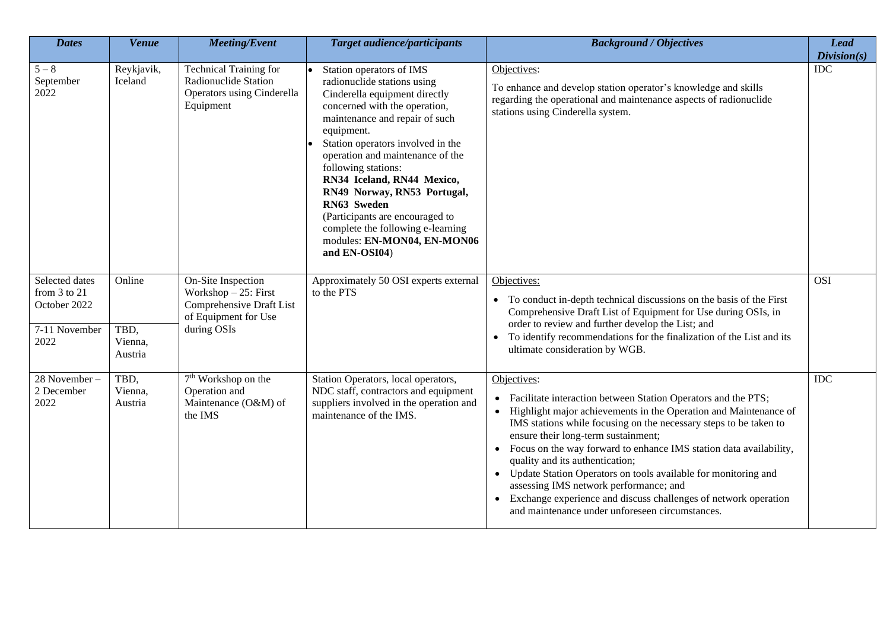| <b>Dates</b>                                                            | <b>Venue</b>                         | <b>Meeting/Event</b>                                                                                            | <b>Target audience/participants</b>                                                                                                                                                                                                                                                                                                                                                                                                                                           | <b>Background / Objectives</b>                                                                                                                                                                                                                                                                                                                                                                                                                                                                                                                                                                          | <b>Lead</b><br>Division(s) |
|-------------------------------------------------------------------------|--------------------------------------|-----------------------------------------------------------------------------------------------------------------|-------------------------------------------------------------------------------------------------------------------------------------------------------------------------------------------------------------------------------------------------------------------------------------------------------------------------------------------------------------------------------------------------------------------------------------------------------------------------------|---------------------------------------------------------------------------------------------------------------------------------------------------------------------------------------------------------------------------------------------------------------------------------------------------------------------------------------------------------------------------------------------------------------------------------------------------------------------------------------------------------------------------------------------------------------------------------------------------------|----------------------------|
| $5-8$<br>September<br>2022                                              | Reykjavik,<br>Iceland                | <b>Technical Training for</b><br>Radionuclide Station<br><b>Operators using Cinderella</b><br>Equipment         | Station operators of IMS<br>radionuclide stations using<br>Cinderella equipment directly<br>concerned with the operation,<br>maintenance and repair of such<br>equipment.<br>Station operators involved in the<br>operation and maintenance of the<br>following stations:<br>RN34 Iceland, RN44 Mexico,<br>RN49 Norway, RN53 Portugal,<br>RN63 Sweden<br>(Participants are encouraged to<br>complete the following e-learning<br>modules: EN-MON04, EN-MON06<br>and EN-OSI04) | Objectives:<br>To enhance and develop station operator's knowledge and skills<br>regarding the operational and maintenance aspects of radionuclide<br>stations using Cinderella system.                                                                                                                                                                                                                                                                                                                                                                                                                 | <b>IDC</b>                 |
| Selected dates<br>from 3 to 21<br>October 2022<br>7-11 November<br>2022 | Online<br>TBD,<br>Vienna,<br>Austria | On-Site Inspection<br>Workshop $-25$ : First<br>Comprehensive Draft List<br>of Equipment for Use<br>during OSIs | Approximately 50 OSI experts external<br>to the PTS                                                                                                                                                                                                                                                                                                                                                                                                                           | Objectives:<br>• To conduct in-depth technical discussions on the basis of the First<br>Comprehensive Draft List of Equipment for Use during OSIs, in<br>order to review and further develop the List; and<br>To identify recommendations for the finalization of the List and its<br>ultimate consideration by WGB.                                                                                                                                                                                                                                                                                    | <b>OSI</b>                 |
| 28 November-<br>2 December<br>2022                                      | TBD,<br>Vienna,<br>Austria           | 7 <sup>th</sup> Workshop on the<br>Operation and<br>Maintenance (O&M) of<br>the IMS                             | Station Operators, local operators,<br>NDC staff, contractors and equipment<br>suppliers involved in the operation and<br>maintenance of the IMS.                                                                                                                                                                                                                                                                                                                             | Objectives:<br>Facilitate interaction between Station Operators and the PTS;<br>Highlight major achievements in the Operation and Maintenance of<br>IMS stations while focusing on the necessary steps to be taken to<br>ensure their long-term sustainment;<br>Focus on the way forward to enhance IMS station data availability,<br>quality and its authentication;<br>Update Station Operators on tools available for monitoring and<br>assessing IMS network performance; and<br>Exchange experience and discuss challenges of network operation<br>and maintenance under unforeseen circumstances. | <b>IDC</b>                 |